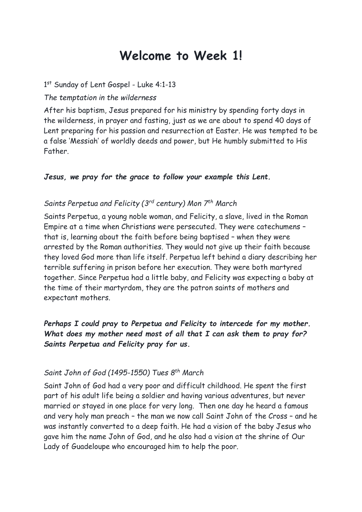# **Welcome to Week 1!**

#### 1st Sunday of Lent Gospel - Luke 4:1-13

#### *The temptation in the wilderness*

After his baptism, Jesus prepared for his ministry by spending forty days in the wilderness, in prayer and fasting, just as we are about to spend 40 days of Lent preparing for his passion and resurrection at Easter. He was tempted to be a false 'Messiah' of worldly deeds and power, but He humbly submitted to His Father.

#### *Jesus, we pray for the grace to follow your example this Lent.*

#### *Saints Perpetua and Felicity (3rd century) Mon 7 th March*

Saints Perpetua, a young noble woman, and Felicity, a slave, lived in the Roman Empire at a time when Christians were persecuted. They were catechumens – that is, learning about the faith before being baptised – when they were arrested by the Roman authorities. They would not give up their faith because they loved God more than life itself. Perpetua left behind a diary describing her terrible suffering in prison before her execution. They were both martyred together. Since Perpetua had a little baby, and Felicity was expecting a baby at the time of their martyrdom, they are the patron saints of mothers and expectant mothers.

## *Perhaps I could pray to Perpetua and Felicity to intercede for my mother. What does my mother need most of all that I can ask them to pray for? Saints Perpetua and Felicity pray for us.*

#### *Saint John of God (1495-1550) Tues 8 th March*

Saint John of God had a very poor and difficult childhood. He spent the first part of his adult life being a soldier and having various adventures, but never married or stayed in one place for very long. Then one day he heard a famous and very holy man preach – the man we now call Saint John of the Cross – and he was instantly converted to a deep faith. He had a vision of the baby Jesus who gave him the name John of God, and he also had a vision at the shrine of Our Lady of Guadeloupe who encouraged him to help the poor.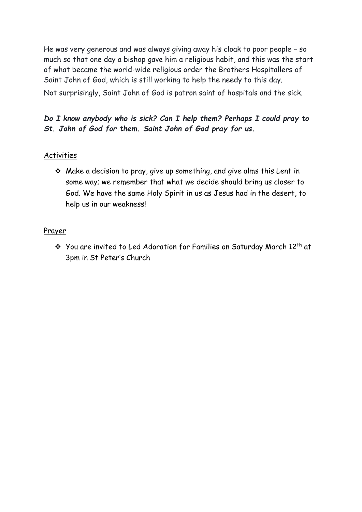He was very generous and was always giving away his cloak to poor people – so much so that one day a bishop gave him a religious habit, and this was the start of what became the world-wide religious order the Brothers Hospitallers of Saint John of God, which is still working to help the needy to this day. Not surprisingly, Saint John of God is patron saint of hospitals and the sick.

### *Do I know anybody who is sick? Can I help them? Perhaps I could pray to St. John of God for them. Saint John of God pray for us.*

#### Activities

❖ Make a decision to pray, give up something, and give alms this Lent in some way; we remember that what we decide should bring us closer to God. We have the same Holy Spirit in us as Jesus had in the desert, to help us in our weakness!

#### Prayer

❖ You are invited to Led Adoration for Families on Saturday March 12th at 3pm in St Peter's Church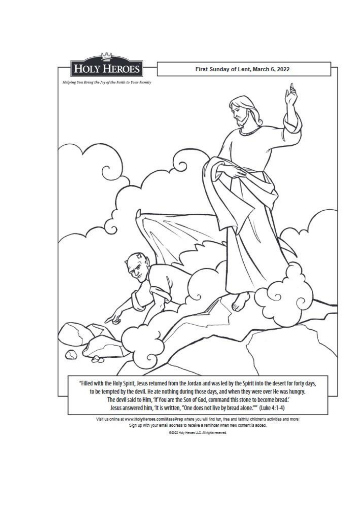

Visit us online at www.HolyHeroes.com/MaasPrep where you will find fun, free and faithful children's activities and more! Sign up with your email address to receive a reminder when new content is added.

82022 Holy Heroes LLC. All rights reserved.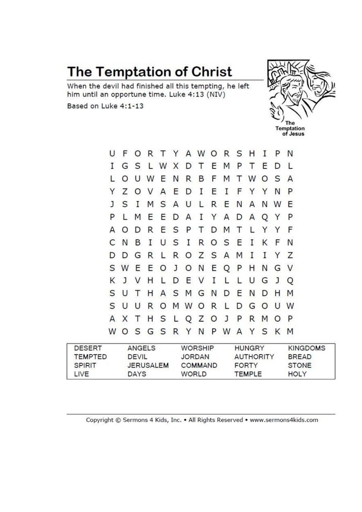# The Temptation of Christ

When the devil had finished all this tempting, he left him until an opportune time. Luke 4:13 (NIV)

Based on Luke 4:1-13



| <b>DESERT</b><br><b>TEMPTED</b> | <b>ANGELS</b><br><b>DEVIL</b> |         |     |         | <b>WORSHIP</b><br><b>JORDAN</b> |         |       |     |              | <b>HUNGRY</b><br><b>AUTHORITY</b> |              |         |     | <b>KINGDOMS</b><br><b>BREAD</b> |
|---------------------------------|-------------------------------|---------|-----|---------|---------------------------------|---------|-------|-----|--------------|-----------------------------------|--------------|---------|-----|---------------------------------|
| W                               | O                             | S       | G S |         | R                               | Y       | N     | P   | W            | Α                                 | Y            | S       | К   | M                               |
| А                               | X                             | Τ       | н   | S       |                                 | L Q     | Z O   |     | $\mathbf{J}$ | P                                 | R            | M       | O   | P                               |
| S                               | U                             | U       | R   | O       |                                 | M W O   |       | R   | L            | D                                 | G            | $\circ$ | U   | W                               |
| S                               | U                             |         | Н   |         |                                 | A S M   | G     | N   | D            | Ε                                 | N            | D       | Н   | M                               |
| Κ                               | J                             | V       | н   | L       | D                               | E       | V     | I   |              |                                   | U            | G       | J   | Q                               |
|                                 | S W                           | Ε       | Ε   | $\circ$ | J                               | $\circ$ | N     | E   | Q            | P                                 | н            | N       | G   | <sup>V</sup>                    |
| D                               | D                             | G       | R   | L       | R                               |         | OZSA  |     |              | M                                 | I            | Ι       | Y   | Ζ                               |
| C                               | N                             | В       | I   | U       | S                               | I       | R.    |     | O S          | E                                 | I            | K       | F   | N                               |
| Α                               | O                             | D       | R   | Е       | S                               | P       | т     | D.  | M            | т                                 | L            | Y       | Y   | F                               |
| P                               |                               | M       | Ε   | Ε       | D                               | A       | I     | Y   | A            | D                                 | A            | Q       | Y   | P                               |
| J.                              | S                             | Ι       |     | M S     | $\mathsf{A}$                    | U       | M.    | R E |              | N                                 | $\mathsf{A}$ |         | N W | E                               |
| Y                               | Ζ                             | O       | V   | A       | Ε                               | D       | I     | Ε   | I            | F                                 | Y            | Y       | N   | P                               |
| L                               | O                             | U       | W   | Ε       | N                               | R       | В     | F   | M            | т                                 | W            | O       | S   | A                               |
| Ι                               | G                             | S       |     | L W     | X                               | D       | Τ     | Ε   | M            | P                                 | т            | Ε       | D   |                                 |
| U                               | F                             | $\circ$ | R   | $\top$  | Y                               |         | AWORS |     |              |                                   | H            | 1       | P   | N                               |

| <b>ILMPIED</b> | <b>DEVIL</b>     | JORDAN         | AUTHORITY    | <b>BREAD</b> |  |
|----------------|------------------|----------------|--------------|--------------|--|
| <b>SPIRIT</b>  | <b>JERUSALEM</b> | <b>COMMAND</b> | <b>FORTY</b> | <b>STONE</b> |  |
| LIVE           | <b>DAYS</b>      | WORLD          | TEMPLE       | <b>HOLY</b>  |  |
|                |                  |                |              |              |  |

Copyright © Sermons 4 Kids, Inc. . All Rights Reserved . www.sermons4kids.com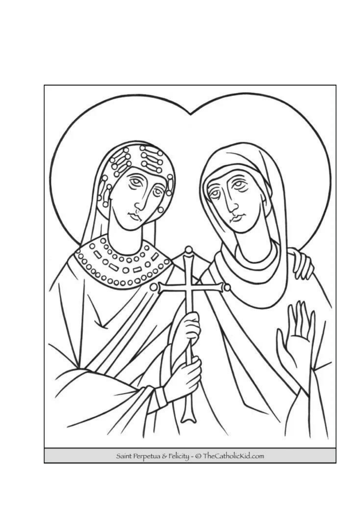